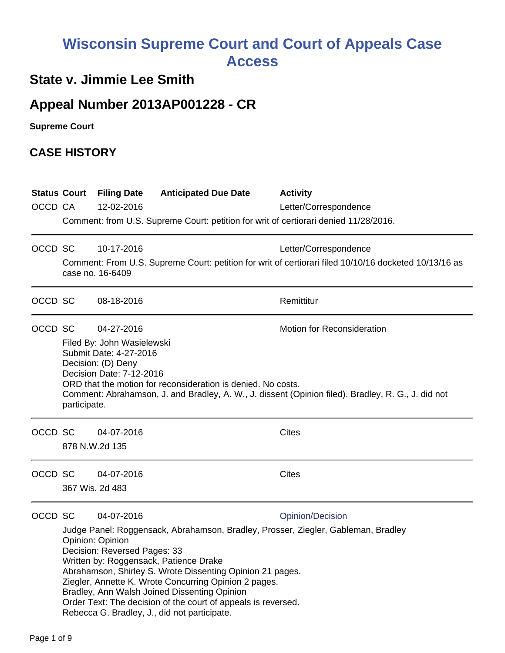# **Wisconsin Supreme Court and Court of Appeals Case Access**

## **State v. Jimmie Lee Smith**

# **Appeal Number 2013AP001228 - CR**

**Supreme Court** 

### **CASE HISTORY**

| OCCD CA | <b>Status Court</b>                                                                                                                                                                                                                                                                                                                                                                                                                                                                                             | <b>Filing Date</b><br>12-02-2016 | <b>Anticipated Due Date</b><br>Comment: from U.S. Supreme Court: petition for writ of certiorari denied 11/28/2016. | <b>Activity</b><br>Letter/Correspondence                                                                                       |
|---------|-----------------------------------------------------------------------------------------------------------------------------------------------------------------------------------------------------------------------------------------------------------------------------------------------------------------------------------------------------------------------------------------------------------------------------------------------------------------------------------------------------------------|----------------------------------|---------------------------------------------------------------------------------------------------------------------|--------------------------------------------------------------------------------------------------------------------------------|
| OCCD SC |                                                                                                                                                                                                                                                                                                                                                                                                                                                                                                                 | 10-17-2016<br>case no. 16-6409   |                                                                                                                     | Letter/Correspondence<br>Comment: From U.S. Supreme Court: petition for writ of certiorari filed 10/10/16 docketed 10/13/16 as |
| OCCD SC |                                                                                                                                                                                                                                                                                                                                                                                                                                                                                                                 | 08-18-2016                       |                                                                                                                     | Remittitur                                                                                                                     |
| OCCD SC | <b>Motion for Reconsideration</b><br>04-27-2016<br>Filed By: John Wasielewski<br>Submit Date: 4-27-2016<br>Decision: (D) Deny<br>Decision Date: 7-12-2016<br>ORD that the motion for reconsideration is denied. No costs.<br>Comment: Abrahamson, J. and Bradley, A. W., J. dissent (Opinion filed). Bradley, R. G., J. did not<br>participate.                                                                                                                                                                 |                                  |                                                                                                                     |                                                                                                                                |
| OCCD SC |                                                                                                                                                                                                                                                                                                                                                                                                                                                                                                                 | 04-07-2016<br>878 N.W.2d 135     |                                                                                                                     | <b>Cites</b>                                                                                                                   |
| OCCD SC |                                                                                                                                                                                                                                                                                                                                                                                                                                                                                                                 | 04-07-2016<br>367 Wis. 2d 483    |                                                                                                                     | <b>Cites</b>                                                                                                                   |
| OCCD SC | 04-07-2016<br><b>Opinion/Decision</b><br>Judge Panel: Roggensack, Abrahamson, Bradley, Prosser, Ziegler, Gableman, Bradley<br>Opinion: Opinion<br>Decision: Reversed Pages: 33<br>Written by: Roggensack, Patience Drake<br>Abrahamson, Shirley S. Wrote Dissenting Opinion 21 pages.<br>Ziegler, Annette K. Wrote Concurring Opinion 2 pages.<br>Bradley, Ann Walsh Joined Dissenting Opinion<br>Order Text: The decision of the court of appeals is reversed.<br>Rebecca G. Bradley, J., did not participate. |                                  |                                                                                                                     |                                                                                                                                |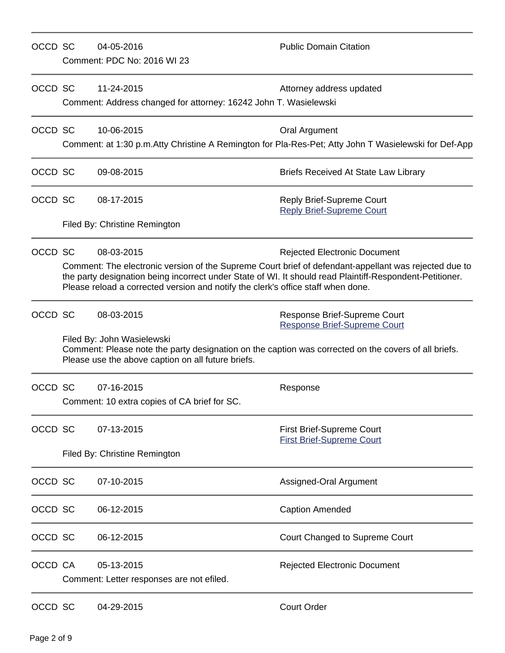| OCCD SC |                                                                                                                                                                                                                                                                                                       | 04-05-2016<br>Comment: PDC No: 2016 WI 23                                      | <b>Public Domain Citation</b>                                                                                          |  |  |  |
|---------|-------------------------------------------------------------------------------------------------------------------------------------------------------------------------------------------------------------------------------------------------------------------------------------------------------|--------------------------------------------------------------------------------|------------------------------------------------------------------------------------------------------------------------|--|--|--|
| OCCD SC |                                                                                                                                                                                                                                                                                                       | 11-24-2015<br>Comment: Address changed for attorney: 16242 John T. Wasielewski | Attorney address updated                                                                                               |  |  |  |
| OCCD SC |                                                                                                                                                                                                                                                                                                       | 10-06-2015                                                                     | Oral Argument<br>Comment: at 1:30 p.m. Atty Christine A Remington for Pla-Res-Pet; Atty John T Wasielewski for Def-App |  |  |  |
| OCCD SC |                                                                                                                                                                                                                                                                                                       | 09-08-2015                                                                     | <b>Briefs Received At State Law Library</b>                                                                            |  |  |  |
| OCCD SC |                                                                                                                                                                                                                                                                                                       | 08-17-2015                                                                     | <b>Reply Brief-Supreme Court</b><br><b>Reply Brief-Supreme Court</b>                                                   |  |  |  |
|         |                                                                                                                                                                                                                                                                                                       | Filed By: Christine Remington                                                  |                                                                                                                        |  |  |  |
| OCCD SC |                                                                                                                                                                                                                                                                                                       | 08-03-2015                                                                     | <b>Rejected Electronic Document</b>                                                                                    |  |  |  |
|         | Comment: The electronic version of the Supreme Court brief of defendant-appellant was rejected due to<br>the party designation being incorrect under State of WI. It should read Plaintiff-Respondent-Petitioner.<br>Please reload a corrected version and notify the clerk's office staff when done. |                                                                                |                                                                                                                        |  |  |  |
| OCCD SC |                                                                                                                                                                                                                                                                                                       | 08-03-2015                                                                     | Response Brief-Supreme Court<br><b>Response Brief-Supreme Court</b>                                                    |  |  |  |
|         | Filed By: John Wasielewski<br>Comment: Please note the party designation on the caption was corrected on the covers of all briefs.<br>Please use the above caption on all future briefs.                                                                                                              |                                                                                |                                                                                                                        |  |  |  |
| OCCD SC |                                                                                                                                                                                                                                                                                                       | 07-16-2015                                                                     | Response                                                                                                               |  |  |  |
|         |                                                                                                                                                                                                                                                                                                       | Comment: 10 extra copies of CA brief for SC.                                   |                                                                                                                        |  |  |  |
| OCCD SC |                                                                                                                                                                                                                                                                                                       | 07-13-2015                                                                     | <b>First Brief-Supreme Court</b><br><b>First Brief-Supreme Court</b>                                                   |  |  |  |
|         |                                                                                                                                                                                                                                                                                                       | Filed By: Christine Remington                                                  |                                                                                                                        |  |  |  |
| OCCD SC |                                                                                                                                                                                                                                                                                                       | 07-10-2015                                                                     | Assigned-Oral Argument                                                                                                 |  |  |  |
| OCCD SC |                                                                                                                                                                                                                                                                                                       | 06-12-2015                                                                     | <b>Caption Amended</b>                                                                                                 |  |  |  |
| OCCD SC |                                                                                                                                                                                                                                                                                                       | 06-12-2015                                                                     | Court Changed to Supreme Court                                                                                         |  |  |  |
| OCCD CA |                                                                                                                                                                                                                                                                                                       | 05-13-2015<br>Comment: Letter responses are not efiled.                        | <b>Rejected Electronic Document</b>                                                                                    |  |  |  |
| OCCD SC |                                                                                                                                                                                                                                                                                                       | 04-29-2015                                                                     | <b>Court Order</b>                                                                                                     |  |  |  |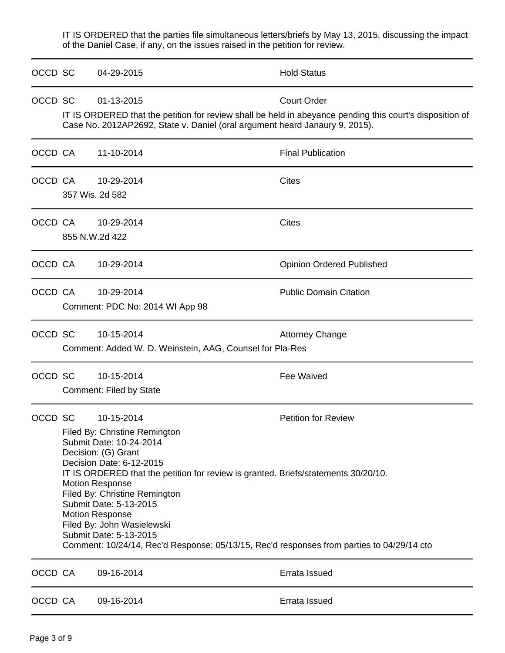IT IS ORDERED that the parties file simultaneous letters/briefs by May 13, 2015, discussing the impact of the Daniel Case, if any, on the issues raised in the petition for review.

| OCCD SC |                                                                                                                                                                                                                                                                                                                                                                                                                                                                                                                   | 04-29-2015                                                                                | <b>Hold Status</b>                                                                                                             |  |
|---------|-------------------------------------------------------------------------------------------------------------------------------------------------------------------------------------------------------------------------------------------------------------------------------------------------------------------------------------------------------------------------------------------------------------------------------------------------------------------------------------------------------------------|-------------------------------------------------------------------------------------------|--------------------------------------------------------------------------------------------------------------------------------|--|
| OCCD SC |                                                                                                                                                                                                                                                                                                                                                                                                                                                                                                                   | 01-13-2015<br>Case No. 2012AP2692, State v. Daniel (oral argument heard Janaury 9, 2015). | <b>Court Order</b><br>IT IS ORDERED that the petition for review shall be held in abeyance pending this court's disposition of |  |
| OCCD CA |                                                                                                                                                                                                                                                                                                                                                                                                                                                                                                                   | 11-10-2014                                                                                | <b>Final Publication</b>                                                                                                       |  |
| OCCD CA |                                                                                                                                                                                                                                                                                                                                                                                                                                                                                                                   | 10-29-2014<br>357 Wis. 2d 582                                                             | Cites                                                                                                                          |  |
| OCCD CA |                                                                                                                                                                                                                                                                                                                                                                                                                                                                                                                   | 10-29-2014<br>855 N.W.2d 422                                                              | <b>Cites</b>                                                                                                                   |  |
| OCCD CA |                                                                                                                                                                                                                                                                                                                                                                                                                                                                                                                   | 10-29-2014                                                                                | <b>Opinion Ordered Published</b>                                                                                               |  |
| OCCD CA |                                                                                                                                                                                                                                                                                                                                                                                                                                                                                                                   | 10-29-2014<br>Comment: PDC No: 2014 WI App 98                                             | <b>Public Domain Citation</b>                                                                                                  |  |
| OCCD SC | 10-15-2014<br><b>Attorney Change</b><br>Comment: Added W. D. Weinstein, AAG, Counsel for Pla-Res                                                                                                                                                                                                                                                                                                                                                                                                                  |                                                                                           |                                                                                                                                |  |
| OCCD SC |                                                                                                                                                                                                                                                                                                                                                                                                                                                                                                                   | 10-15-2014<br><b>Comment: Filed by State</b>                                              | Fee Waived                                                                                                                     |  |
| OCCD SC | <b>Petition for Review</b><br>10-15-2014<br>Filed By: Christine Remington<br>Submit Date: 10-24-2014<br>Decision: (G) Grant<br>Decision Date: 6-12-2015<br>IT IS ORDERED that the petition for review is granted. Briefs/statements 30/20/10.<br><b>Motion Response</b><br>Filed By: Christine Remington<br>Submit Date: 5-13-2015<br><b>Motion Response</b><br>Filed By: John Wasielewski<br>Submit Date: 5-13-2015<br>Comment: 10/24/14, Rec'd Response; 05/13/15, Rec'd responses from parties to 04/29/14 cto |                                                                                           |                                                                                                                                |  |
| OCCD CA |                                                                                                                                                                                                                                                                                                                                                                                                                                                                                                                   | 09-16-2014                                                                                | Errata Issued                                                                                                                  |  |
| OCCD CA |                                                                                                                                                                                                                                                                                                                                                                                                                                                                                                                   | 09-16-2014                                                                                | Errata Issued                                                                                                                  |  |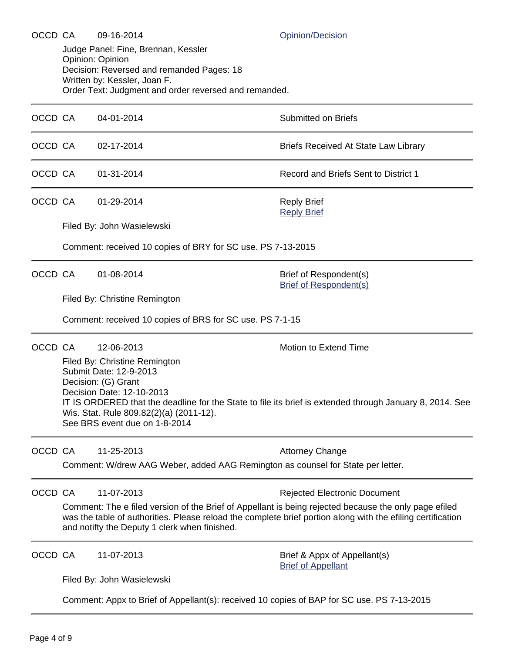Order Text: Judgment and order reversed and remanded. OCCD CA 04-01-2014 Submitted on Briefs OCCD CA 02-17-2014 Briefs Received At State Law Library OCCD CA 01-31-2014 Record and Briefs Sent to District 1 OCCD CA 01-29-2014 **Reply Brief** [Reply Brief](https://acefiling.wicourts.gov/document/eFiled/2013AP001228/107637) Filed By: John Wasielewski Comment: received 10 copies of BRY for SC use. PS 7-13-2015 OCCD CA  $01-08-2014$  Brief of Respondent(s) [Brief of Respondent\(s\)](https://acefiling.wicourts.gov/document/eFiled/2013AP001228/106625) Filed By: Christine Remington Comment: received 10 copies of BRS for SC use. PS 7-1-15 OCCD CA 12-06-2013 Motion to Extend Time Filed By: Christine Remington Submit Date: 12-9-2013 Decision: (G) Grant Decision Date: 12-10-2013 IT IS ORDERED that the deadline for the State to file its brief is extended through January 8, 2014. See Wis. Stat. Rule 809.82(2)(a) (2011-12). See BRS event due on 1-8-2014 OCCD CA 11-25-2013 **Attorney Change** Comment: W/drew AAG Weber, added AAG Remington as counsel for State per letter. OCCD CA 11-07-2013 Rejected Electronic Document Comment: The e filed version of the Brief of Appellant is being rejected because the only page efiled was the table of authorities. Please reload the complete brief portion along with the efiling certification and notifty the Deputy 1 clerk when finished. OCCD CA 11-07-2013 Brief & Appx of Appellant(s) [Brief of Appellant](https://acefiling.wicourts.gov/document/eFiled/2013AP001228/104293) Filed By: John Wasielewski Comment: Appx to Brief of Appellant(s): received 10 copies of BAP for SC use. PS 7-13-2015

OCCD CA 09-16-2014 **Opinion** [Opinion/Decision](http://www.wicourts.gov/other/appeals/caopin.jsp?docket_number=2013AP001228)

Judge Panel: Fine, Brennan, Kessler

Written by: Kessler, Joan F.

Decision: Reversed and remanded Pages: 18

Opinion: Opinion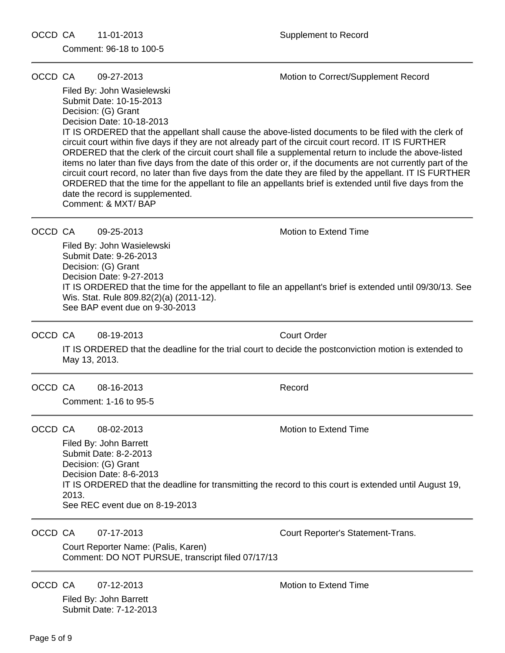Comment: 96-18 to 100-5

OCCD CA 09-27-2013 Motion to Correct/Supplement Record Filed By: John Wasielewski Submit Date: 10-15-2013 Decision: (G) Grant Decision Date: 10-18-2013 IT IS ORDERED that the appellant shall cause the above-listed documents to be filed with the clerk of circuit court within five days if they are not already part of the circuit court record. IT IS FURTHER ORDERED that the clerk of the circuit court shall file a supplemental return to include the above-listed items no later than five days from the date of this order or, if the documents are not currently part of the circuit court record, no later than five days from the date they are filed by the appellant. IT IS FURTHER ORDERED that the time for the appellant to file an appellants brief is extended until five days from the date the record is supplemented. Comment: & MXT/ BAP OCCD CA 09-25-2013 Motion to Extend Time Filed By: John Wasielewski Submit Date: 9-26-2013 Decision: (G) Grant Decision Date: 9-27-2013 IT IS ORDERED that the time for the appellant to file an appellant's brief is extended until 09/30/13. See Wis. Stat. Rule 809.82(2)(a) (2011-12). See BAP event due on 9-30-2013 OCCD CA 08-19-2013 Court Order IT IS ORDERED that the deadline for the trial court to decide the postconviction motion is extended to May 13, 2013. OCCD CA 08-16-2013 Record Comment: 1-16 to 95-5 OCCD CA 08-02-2013 Motion to Extend Time Filed By: John Barrett Submit Date: 8-2-2013 Decision: (G) Grant Decision Date: 8-6-2013 IT IS ORDERED that the deadline for transmitting the record to this court is extended until August 19, 2013. See REC event due on 8-19-2013 OCCD CA 07-17-2013 Court Reporter's Statement-Trans. Court Reporter Name: (Palis, Karen) Comment: DO NOT PURSUE, transcript filed 07/17/13 OCCD CA 07-12-2013 Motion to Extend Time Filed By: John Barrett Submit Date: 7-12-2013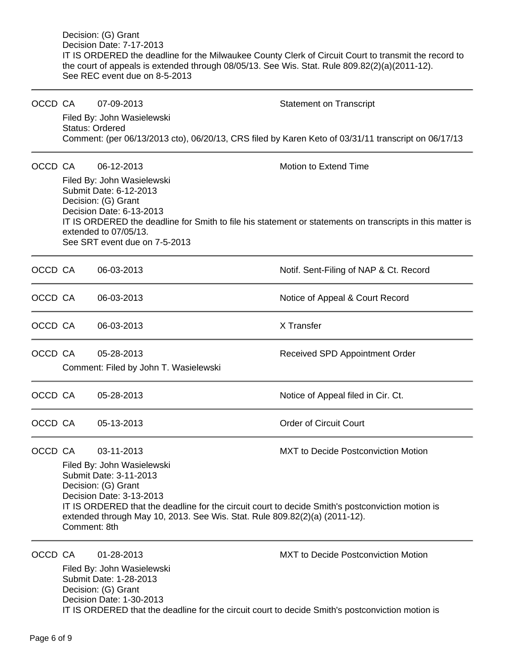|         | Decision: (G) Grant<br>Decision Date: 7-17-2013<br>IT IS ORDERED the deadline for the Milwaukee County Clerk of Circuit Court to transmit the record to<br>the court of appeals is extended through 08/05/13. See Wis. Stat. Rule 809.82(2)(a)(2011-12).<br>See REC event due on 8-5-2013 |                                                                                                                                                                                                                                                                                                           |                                            |  |  |  |  |
|---------|-------------------------------------------------------------------------------------------------------------------------------------------------------------------------------------------------------------------------------------------------------------------------------------------|-----------------------------------------------------------------------------------------------------------------------------------------------------------------------------------------------------------------------------------------------------------------------------------------------------------|--------------------------------------------|--|--|--|--|
| OCCD CA |                                                                                                                                                                                                                                                                                           | 07-09-2013                                                                                                                                                                                                                                                                                                | <b>Statement on Transcript</b>             |  |  |  |  |
|         | Filed By: John Wasielewski<br><b>Status: Ordered</b><br>Comment: (per 06/13/2013 cto), 06/20/13, CRS filed by Karen Keto of 03/31/11 transcript on 06/17/13                                                                                                                               |                                                                                                                                                                                                                                                                                                           |                                            |  |  |  |  |
| OCCD CA |                                                                                                                                                                                                                                                                                           | 06-12-2013                                                                                                                                                                                                                                                                                                | <b>Motion to Extend Time</b>               |  |  |  |  |
|         | Filed By: John Wasielewski<br>Submit Date: 6-12-2013<br>Decision: (G) Grant<br>Decision Date: 6-13-2013<br>IT IS ORDERED the deadline for Smith to file his statement or statements on transcripts in this matter is<br>extended to 07/05/13.<br>See SRT event due on 7-5-2013            |                                                                                                                                                                                                                                                                                                           |                                            |  |  |  |  |
| OCCD CA |                                                                                                                                                                                                                                                                                           | 06-03-2013                                                                                                                                                                                                                                                                                                | Notif. Sent-Filing of NAP & Ct. Record     |  |  |  |  |
| OCCD CA |                                                                                                                                                                                                                                                                                           | 06-03-2013                                                                                                                                                                                                                                                                                                | Notice of Appeal & Court Record            |  |  |  |  |
| OCCD CA |                                                                                                                                                                                                                                                                                           | 06-03-2013                                                                                                                                                                                                                                                                                                | X Transfer                                 |  |  |  |  |
| OCCD CA |                                                                                                                                                                                                                                                                                           | 05-28-2013<br>Received SPD Appointment Order<br>Comment: Filed by John T. Wasielewski                                                                                                                                                                                                                     |                                            |  |  |  |  |
| OCCD CA |                                                                                                                                                                                                                                                                                           | 05-28-2013                                                                                                                                                                                                                                                                                                | Notice of Appeal filed in Cir. Ct.         |  |  |  |  |
| OCCD CA |                                                                                                                                                                                                                                                                                           | 05-13-2013                                                                                                                                                                                                                                                                                                | <b>Order of Circuit Court</b>              |  |  |  |  |
| OCCD CA |                                                                                                                                                                                                                                                                                           | 03-11-2013                                                                                                                                                                                                                                                                                                | <b>MXT</b> to Decide Postconviction Motion |  |  |  |  |
|         |                                                                                                                                                                                                                                                                                           | Filed By: John Wasielewski<br>Submit Date: 3-11-2013<br>Decision: (G) Grant<br>Decision Date: 3-13-2013<br>IT IS ORDERED that the deadline for the circuit court to decide Smith's postconviction motion is<br>extended through May 10, 2013. See Wis. Stat. Rule 809.82(2)(a) (2011-12).<br>Comment: 8th |                                            |  |  |  |  |
| OCCD CA |                                                                                                                                                                                                                                                                                           | 01-28-2013                                                                                                                                                                                                                                                                                                | <b>MXT to Decide Postconviction Motion</b> |  |  |  |  |
|         | Filed By: John Wasielewski<br>Suhmit Dato: 1-28-2012                                                                                                                                                                                                                                      |                                                                                                                                                                                                                                                                                                           |                                            |  |  |  |  |

Submit Date: 1-28-2013 Decision: (G) Grant Decision Date: 1-30-2013 IT IS ORDERED that the deadline for the circuit court to decide Smith's postconviction motion is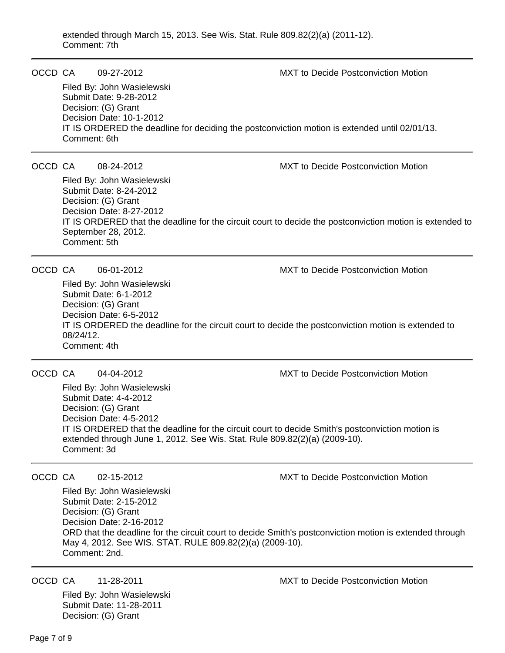extended through March 15, 2013. See Wis. Stat. Rule 809.82(2)(a) (2011-12). Comment: 7th

OCCD CA 09-27-2012 MXT to Decide Postconviction Motion

Filed By: John Wasielewski Submit Date: 9-28-2012 Decision: (G) Grant Decision Date: 10-1-2012 IT IS ORDERED the deadline for deciding the postconviction motion is extended until 02/01/13. Comment: 6th

OCCD CA 08-24-2012 MXT to Decide Postconviction Motion

Filed By: John Wasielewski Submit Date: 8-24-2012 Decision: (G) Grant Decision Date: 8-27-2012 IT IS ORDERED that the deadline for the circuit court to decide the postconviction motion is extended to September 28, 2012. Comment: 5th

OCCD CA 06-01-2012 MXT to Decide Postconviction Motion

Filed By: John Wasielewski Submit Date: 6-1-2012 Decision: (G) Grant Decision Date: 6-5-2012 IT IS ORDERED the deadline for the circuit court to decide the postconviction motion is extended to 08/24/12. Comment: 4th

OCCD CA 04-04-2012 **MXT** to Decide Postconviction Motion

Filed By: John Wasielewski Submit Date: 4-4-2012 Decision: (G) Grant Decision Date: 4-5-2012 IT IS ORDERED that the deadline for the circuit court to decide Smith's postconviction motion is extended through June 1, 2012. See Wis. Stat. Rule 809.82(2)(a) (2009-10). Comment: 3d

OCCD CA 02-15-2012 MXT to Decide Postconviction Motion

Filed By: John Wasielewski Submit Date: 2-15-2012 Decision: (G) Grant Decision Date: 2-16-2012 ORD that the deadline for the circuit court to decide Smith's postconviction motion is extended through May 4, 2012. See WIS. STAT. RULE 809.82(2)(a) (2009-10). Comment: 2nd.

Filed By: John Wasielewski Submit Date: 11-28-2011 Decision: (G) Grant

OCCD CA 11-28-2011 MXT to Decide Postconviction Motion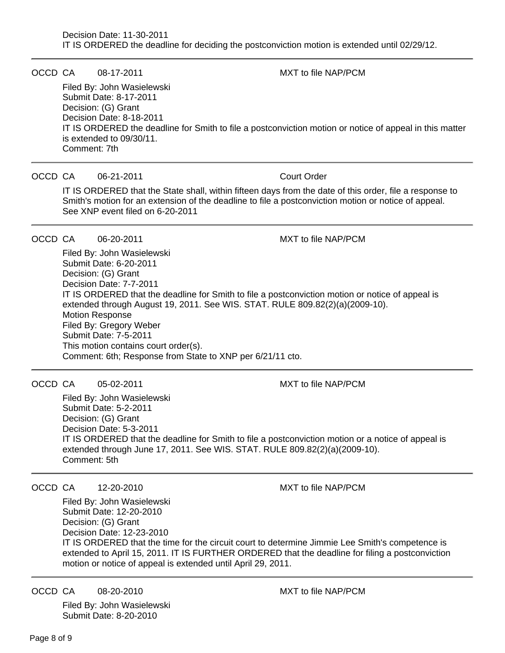OCCD CA 08-17-2011 MXT to file NAP/PCM Filed By: John Wasielewski Submit Date: 8-17-2011 Decision: (G) Grant Decision Date: 8-18-2011 IT IS ORDERED the deadline for Smith to file a postconviction motion or notice of appeal in this matter is extended to 09/30/11. Comment: 7th OCCD CA 06-21-2011 Court Order IT IS ORDERED that the State shall, within fifteen days from the date of this order, file a response to Smith's motion for an extension of the deadline to file a postconviction motion or notice of appeal. See XNP event filed on 6-20-2011 OCCD CA 06-20-2011 MXT to file NAP/PCM Filed By: John Wasielewski Submit Date: 6-20-2011 Decision: (G) Grant Decision Date: 7-7-2011 IT IS ORDERED that the deadline for Smith to file a postconviction motion or notice of appeal is extended through August 19, 2011. See WIS. STAT. RULE 809.82(2)(a)(2009-10). Motion Response Filed By: Gregory Weber Submit Date: 7-5-2011 This motion contains court order(s). Comment: 6th; Response from State to XNP per 6/21/11 cto. OCCD CA 05-02-2011 MXT to file NAP/PCM Filed By: John Wasielewski Submit Date: 5-2-2011 Decision: (G) Grant Decision Date: 5-3-2011 IT IS ORDERED that the deadline for Smith to file a postconviction motion or a notice of appeal is extended through June 17, 2011. See WIS. STAT. RULE 809.82(2)(a)(2009-10). Comment: 5th OCCD CA 12-20-2010 MXT to file NAP/PCM Filed By: John Wasielewski Submit Date: 12-20-2010

Decision: (G) Grant Decision Date: 12-23-2010 IT IS ORDERED that the time for the circuit court to determine Jimmie Lee Smith's competence is extended to April 15, 2011. IT IS FURTHER ORDERED that the deadline for filing a postconviction motion or notice of appeal is extended until April 29, 2011.

OCCD CA 08-20-2010 MXT to file NAP/PCM

Filed By: John Wasielewski Submit Date: 8-20-2010